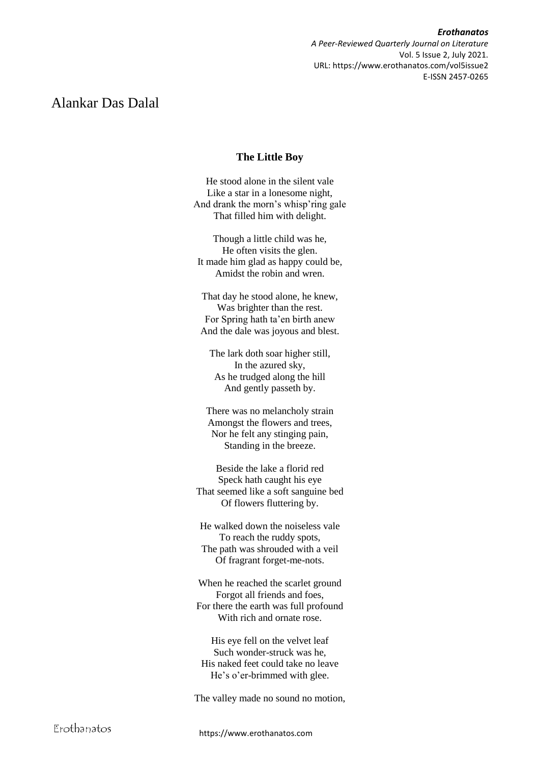*Erothanatos A Peer-Reviewed Quarterly Journal on Literature* Vol. 5 Issue 2, July 2021. URL: https://www.erothanatos.com/vol5issue2 E-ISSN 2457-0265

# Alankar Das Dalal

## **The Little Boy**

He stood alone in the silent vale Like a star in a lonesome night, And drank the morn's whisp'ring gale That filled him with delight.

Though a little child was he, He often visits the glen. It made him glad as happy could be, Amidst the robin and wren.

That day he stood alone, he knew, Was brighter than the rest. For Spring hath ta'en birth anew And the dale was joyous and blest.

The lark doth soar higher still, In the azured sky, As he trudged along the hill And gently passeth by.

There was no melancholy strain Amongst the flowers and trees, Nor he felt any stinging pain, Standing in the breeze.

Beside the lake a florid red Speck hath caught his eye That seemed like a soft sanguine bed Of flowers fluttering by.

He walked down the noiseless vale To reach the ruddy spots, The path was shrouded with a veil Of fragrant forget-me-nots.

When he reached the scarlet ground Forgot all friends and foes, For there the earth was full profound With rich and ornate rose.

His eye fell on the velvet leaf Such wonder-struck was he, His naked feet could take no leave He's o'er-brimmed with glee.

The valley made no sound no motion,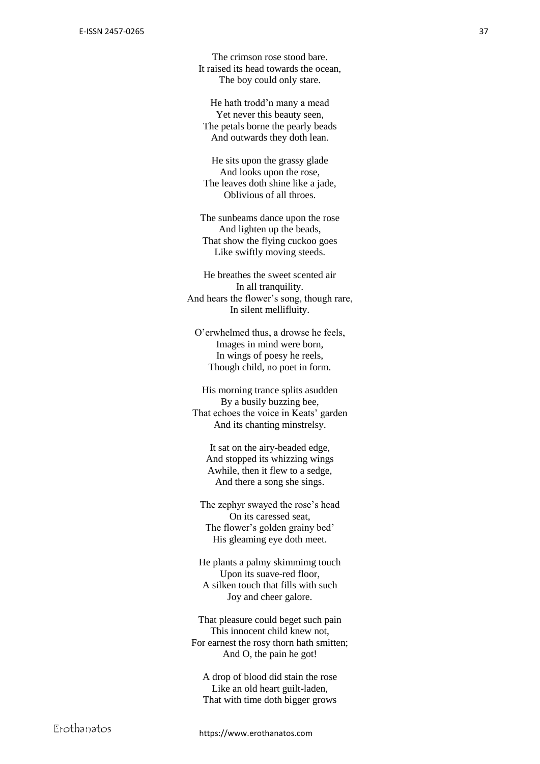The crimson rose stood bare. It raised its head towards the ocean, The boy could only stare.

He hath trodd'n many a mead Yet never this beauty seen, The petals borne the pearly beads And outwards they doth lean.

He sits upon the grassy glade And looks upon the rose, The leaves doth shine like a jade, Oblivious of all throes.

The sunbeams dance upon the rose And lighten up the beads, That show the flying cuckoo goes Like swiftly moving steeds.

He breathes the sweet scented air In all tranquility. And hears the flower's song, though rare, In silent mellifluity.

O'erwhelmed thus, a drowse he feels, Images in mind were born, In wings of poesy he reels, Though child, no poet in form.

His morning trance splits asudden By a busily buzzing bee, That echoes the voice in Keats' garden And its chanting minstrelsy.

It sat on the airy -beaded edge, And stopped its whizzing wings Awhile, then it flew to a sedge, And there a song she sings.

The zephyr swayed the rose's head On its caressed seat, The flower's golden grainy bed' His gleaming eye doth meet.

He plants a palmy skimmimg touch Upon its suave -red floor , A silken touch that fills with such Joy and cheer galore.

That pleasure could beget such pain This innocent child knew not, For earnest the rosy thorn hath smitten; And O, the pain he got!

A drop of blood did stain the rose Like an old heart guilt -laden, That with time doth bigger grows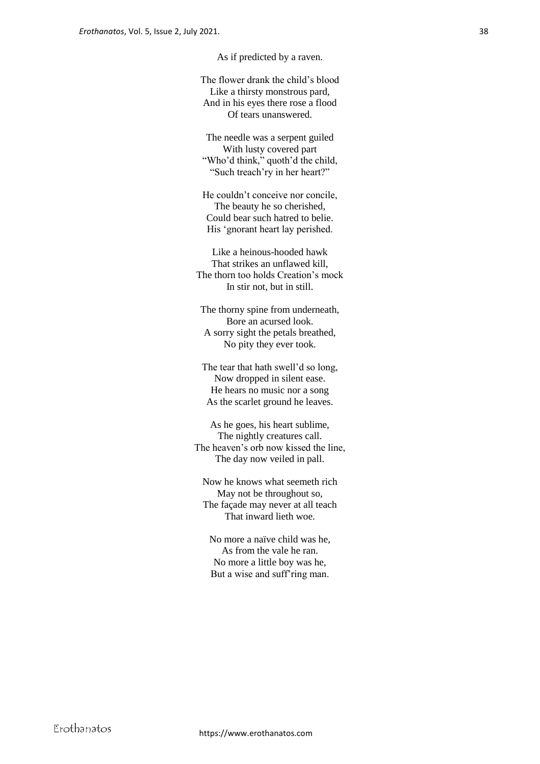As if predicted by a raven.

The flower drank the child's blood Like a thirsty monstrous pard, And in his eyes there rose a flood Of tears unanswered.

The needle was a serpent guiled With lusty covered part "Who'd think," quoth'd the child, "Such treach'ry in her heart?"

He couldn't conceive nor concile, The beauty he so cherished, Could bear such hatred to belie. His 'gnorant heart lay perished.

Like a heinous-hooded hawk That strikes an unflawed kill, The thorn too holds Creation's mock In stir not, but in still.

The thorny spine from underneath, Bore an acursed look. A sorry sight the petals breathed, No pity they ever took.

The tear that hath swell'd so long, Now dropped in silent ease. He hears no music nor a song As the scarlet ground he leaves.

As he goes, his heart sublime, The nightly creatures call. The heaven's orb now kissed the line, The day now veiled in pall.

Now he knows what seemeth rich May not be throughout so, The façade may never at all teach That inward lieth woe.

No more a naïve child was he, As from the vale he ran. No more a little boy was he, But a wise and suff'ring man.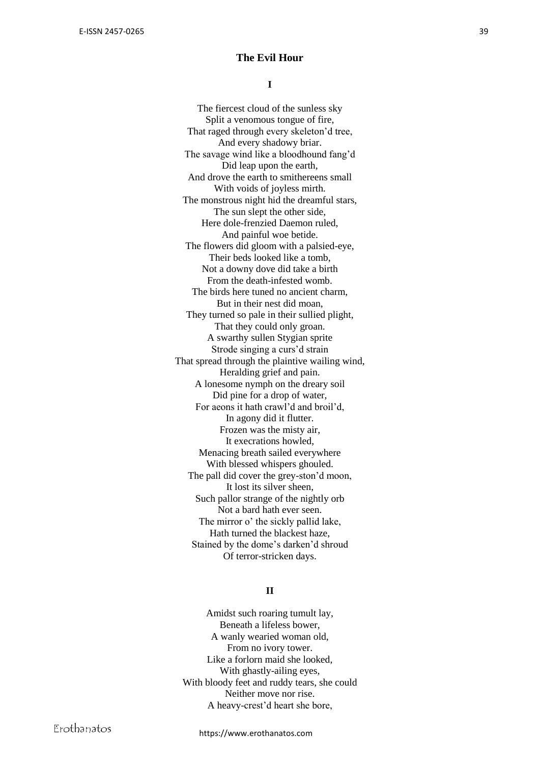#### **The Evil Hour**

**I**

The fiercest cloud of the sunless sky Split a venomous tongue of fire, That raged through every skeleton'd tree, And every shadowy briar. The savage wind like a bloodhound fang'd Did leap upon the earth, And drove the earth to smithereens small With voids of joyless mirth. The monstrous night hid the dreamful stars, The sun slept the other side , Here dole -frenzied Daemon ruled, And painful woe betide. The flowers did gloom with a palsied -eye, Their beds looked like a tomb, Not a downy dove did take a birth From the death -infested womb. The birds here tuned no ancient charm, But in their nest did moan, They turned so pale in their sullied plight, That they could only groan. A swarthy sullen Stygian sprite Strode singing a curs'd strain That spread through the plaintive wailing wind, Heralding grief and pain. A lonesome nymph on the dreary soil Did pine for a drop of water, For aeons it hath crawl'd and broil'd, In agony did it flutter. Frozen was the misty air, It execrations howled, Menacing breath sailed everywhere With blessed whispers ghouled. The pall did cover the grey -ston'd moon, It lost its silver sheen, Such pallor strange of the nightly orb Not a bard hath ever seen. The mirror o' the sickly pallid lake, Hath turned the blackest haze, Stained by the dome's darken'd shroud Of terror -stricken days.

## **II**

Amidst such roaring tumult lay, Beneath a lifeless bower, A wanly wearied woman old, From no ivory tower. Like a forlorn maid she looked, With ghastly -ailing eyes, With bloody feet and ruddy tears, she could Neither move nor rise. A heavy -crest'd heart she bore,

https://www.erothanatos.com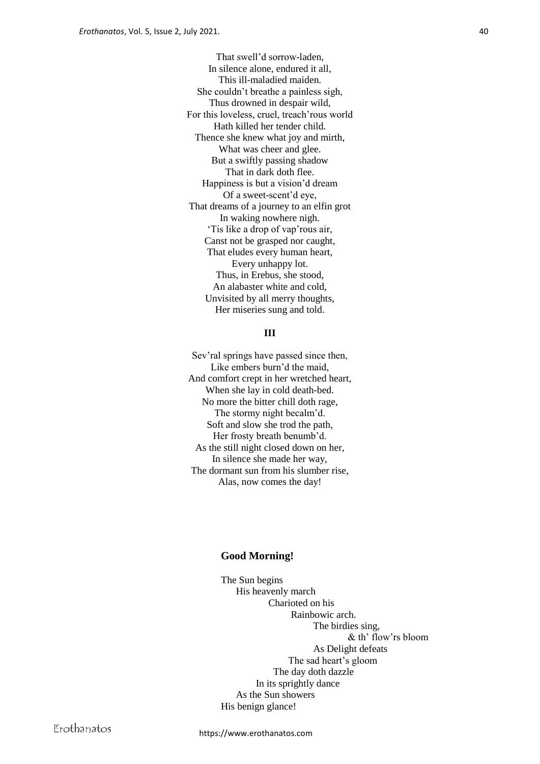That swell'd sorrow-laden, In silence alone, endured it all, This ill-maladied maiden. She couldn't breathe a painless sigh, Thus drowned in despair wild, For this loveless, cruel, treach'rous world Hath killed her tender child. Thence she knew what joy and mirth, What was cheer and glee. But a swiftly passing shadow That in dark doth flee. Happiness is but a vision'd dream Of a sweet-scent'd eye, That dreams of a journey to an elfin grot In waking nowhere nigh. 'Tis like a drop of vap'rous air, Canst not be grasped nor caught, That eludes every human heart, Every unhappy lot. Thus, in Erebus, she stood, An alabaster white and cold, Unvisited by all merry thoughts, Her miseries sung and told.

### **III**

Sev'ral springs have passed since then, Like embers burn'd the maid, And comfort crept in her wretched heart, When she lay in cold death-bed. No more the bitter chill doth rage, The stormy night becalm'd. Soft and slow she trod the path, Her frosty breath benumb'd. As the still night closed down on her, In silence she made her way, The dormant sun from his slumber rise, Alas, now comes the day!

#### **Good Morning!**

The Sun begins His heavenly march Charioted on his Rainbowic arch. The birdies sing, & th' flow'rs bloom As Delight defeats The sad heart's gloom The day doth dazzle In its sprightly dance As the Sun showers His benign glance!

https://www.erothanatos.com